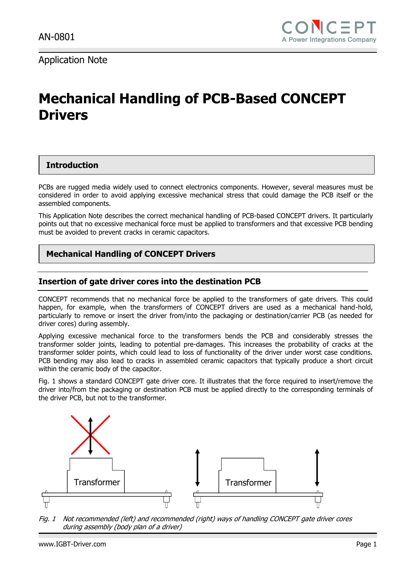Application Note

# **Mechanical Handling of PCB-Based CONCEPT Drivers**

### **Introduction**

PCBs are rugged media widely used to connect electronics components. However, several measures must be considered in order to avoid applying excessive mechanical stress that could damage the PCB itself or the assembled components.

This Application Note describes the correct mechanical handling of PCB-based CONCEPT drivers. It particularly points out that no excessive mechanical force must be applied to transformers and that excessive PCB bending must be avoided to prevent cracks in ceramic capacitors.

## **Mechanical Handling of CONCEPT Drivers**

#### **Insertion of gate driver cores into the destination PCB**

CONCEPT recommends that no mechanical force be applied to the transformers of gate drivers. This could happen, for example, when the transformers of CONCEPT drivers are used as a mechanical hand-hold, particularly to remove or insert the driver from/into the packaging or destination/carrier PCB (as needed for driver cores) during assembly.

Applying excessive mechanical force to the transformers bends the PCB and considerably stresses the transformer solder joints, leading to potential pre-damages. This increases the probability of cracks at the transformer solder points, which could lead to loss of functionality of the driver under worst case conditions. PCB bending may also lead to cracks in assembled ceramic capacitors that typically produce a short circuit within the ceramic body of the capacitor.

[Fig. 1](#page-0-0) shows a standard CONCEPT gate driver core. It illustrates that the force required to insert/remove the driver into/from the packaging or destination PCB must be applied directly to the corresponding terminals of the driver PCB, but not to the transformer.



<span id="page-0-0"></span>Fig. 1 Not recommended (left) and recommended (right) ways of handling CONCEPT gate driver cores during assembly (body plan of a driver)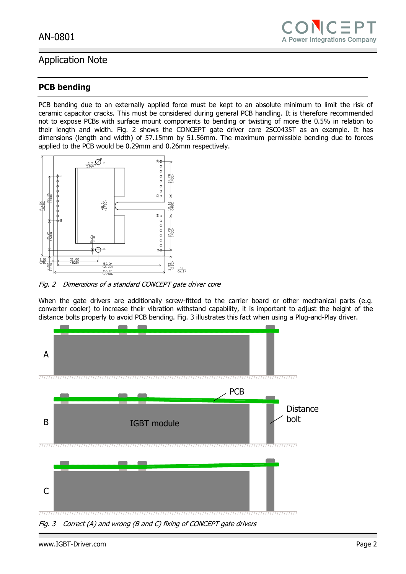

# Application Note

## **PCB bending**

PCB bending due to an externally applied force must be kept to an absolute minimum to limit the risk of ceramic capacitor cracks. This must be considered during general PCB handling. It is therefore recommended not to expose PCBs with surface mount components to bending or twisting of more the 0.5% in relation to their length and width. [Fig. 2](#page-1-0) shows the CONCEPT gate driver core 2SC0435T as an example. It has dimensions (length and width) of 57.15mm by 51.56mm. The maximum permissible bending due to forces applied to the PCB would be 0.29mm and 0.26mm respectively.



<span id="page-1-0"></span>Fig. 2 Dimensions of a standard CONCEPT gate driver core

When the gate drivers are additionally screw-fitted to the carrier board or other mechanical parts (e.g. converter cooler) to increase their vibration withstand capability, it is important to adjust the height of the distance bolts properly to avoid PCB bending. [Fig. 3](#page-1-1) illustrates this fact when using a Plug-and-Play driver.



<span id="page-1-1"></span>Fig. 3 Correct (A) and wrong (B and C) fixing of CONCEPT gate drivers